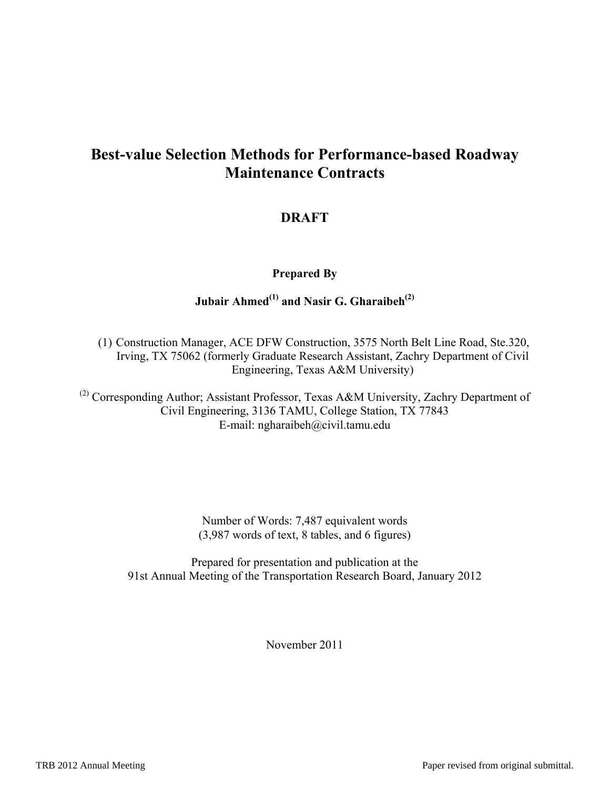# **Best-value Selection Methods for Performance-based Roadway Maintenance Contracts**

## **DRAFT**

### **Prepared By**

# Jubair Ahmed<sup>(1)</sup> and Nasir G. Gharaibeh<sup>(2)</sup>

(1) Construction Manager, ACE DFW Construction, 3575 North Belt Line Road, Ste.320, Irving, TX 75062 (formerly Graduate Research Assistant, Zachry Department of Civil Engineering, Texas A&M University)

(2) Corresponding Author; Assistant Professor, Texas A&M University, Zachry Department of Civil Engineering, 3136 TAMU, College Station, TX 77843 E-mail: ngharaibeh@civil.tamu.edu

> Number of Words: 7,487 equivalent words (3,987 words of text, 8 tables, and 6 figures)

Prepared for presentation and publication at the 91st Annual Meeting of the Transportation Research Board, January 2012

November 2011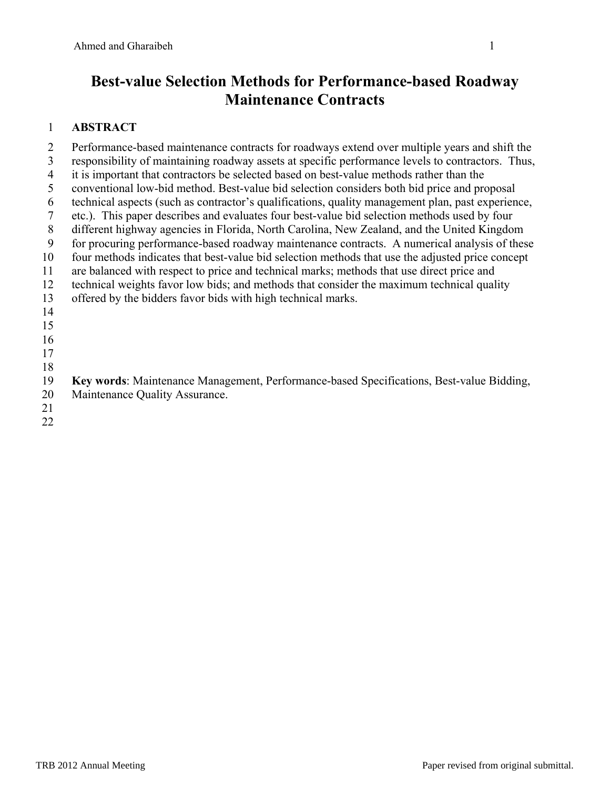# **Best-value Selection Methods for Performance-based Roadway Maintenance Contracts**

# 1 **ABSTRACT**

2 Performance-based maintenance contracts for roadways extend over multiple years and shift the 3 responsibility of maintaining roadway assets at specific performance levels to contractors. Thus, 4 it is important that contractors be selected based on best-value methods rather than the 5 conventional low-bid method. Best-value bid selection considers both bid price and proposal 6 technical aspects (such as contractor's qualifications, quality management plan, past experience, 7 etc.). This paper describes and evaluates four best-value bid selection methods used by four 8 different highway agencies in Florida, North Carolina, New Zealand, and the United Kingdom 9 for procuring performance-based roadway maintenance contracts. A numerical analysis of these 10 four methods indicates that best-value bid selection methods that use the adjusted price concept 11 are balanced with respect to price and technical marks; methods that use direct price and 12 technical weights favor low bids; and methods that consider the maximum technical quality 13 offered by the bidders favor bids with high technical marks. 14 15 16 17 18 19 **Key words**: Maintenance Management, Performance-based Specifications, Best-value Bidding, 20 Maintenance Quality Assurance.

- 21 22
-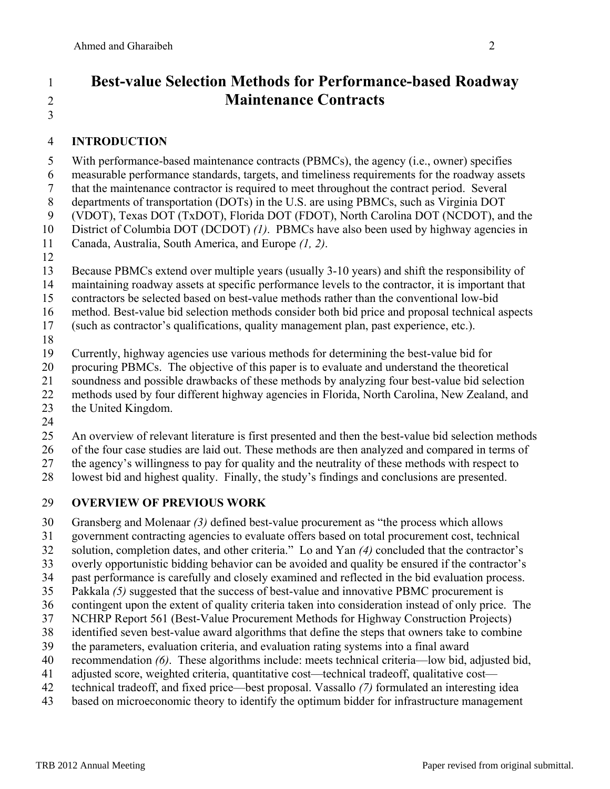3

# 1 **Best-value Selection Methods for Performance-based Roadway**  2 **Maintenance Contracts**

### 4 **INTRODUCTION**

5 With performance-based maintenance contracts (PBMCs), the agency (i.e., owner) specifies 6 measurable performance standards, targets, and timeliness requirements for the roadway assets 7 that the maintenance contractor is required to meet throughout the contract period. Several 8 departments of transportation (DOTs) in the U.S. are using PBMCs, such as Virginia DOT 9 (VDOT), Texas DOT (TxDOT), Florida DOT (FDOT), North Carolina DOT (NCDOT), and the 10 District of Columbia DOT (DCDOT) *(1)*. PBMCs have also been used by highway agencies in 11 Canada, Australia, South America, and Europe *(1, 2)*. 12

- 13 Because PBMCs extend over multiple years (usually 3-10 years) and shift the responsibility of
- 14 maintaining roadway assets at specific performance levels to the contractor, it is important that
- 15 contractors be selected based on best-value methods rather than the conventional low-bid
- 16 method. Best-value bid selection methods consider both bid price and proposal technical aspects
- 17 (such as contractor's qualifications, quality management plan, past experience, etc.).
- 18
- 19 Currently, highway agencies use various methods for determining the best-value bid for
- 20 procuring PBMCs. The objective of this paper is to evaluate and understand the theoretical
- 21 soundness and possible drawbacks of these methods by analyzing four best-value bid selection
- 22 methods used by four different highway agencies in Florida, North Carolina, New Zealand, and
- 23 the United Kingdom.
- 24
- 25 An overview of relevant literature is first presented and then the best-value bid selection methods
- 26 of the four case studies are laid out. These methods are then analyzed and compared in terms of
- 27 the agency's willingness to pay for quality and the neutrality of these methods with respect to
- 28 lowest bid and highest quality. Finally, the study's findings and conclusions are presented.

## 29 **OVERVIEW OF PREVIOUS WORK**

- 30 Gransberg and Molenaar *(3)* defined best-value procurement as "the process which allows
- 31 government contracting agencies to evaluate offers based on total procurement cost, technical
- 32 solution, completion dates, and other criteria." Lo and Yan *(4)* concluded that the contractor's
- 33 overly opportunistic bidding behavior can be avoided and quality be ensured if the contractor's
- 34 past performance is carefully and closely examined and reflected in the bid evaluation process.
- 35 Pakkala *(5)* suggested that the success of best-value and innovative PBMC procurement is
- 36 contingent upon the extent of quality criteria taken into consideration instead of only price. The
- 37 NCHRP Report 561 (Best-Value Procurement Methods for Highway Construction Projects)
- 38 identified seven best-value award algorithms that define the steps that owners take to combine
- 39 the parameters, evaluation criteria, and evaluation rating systems into a final award
- 40 recommendation *(6)*. These algorithms include: meets technical criteria—low bid, adjusted bid,
- 41 adjusted score, weighted criteria, quantitative cost—technical tradeoff, qualitative cost—
- 42 technical tradeoff, and fixed price—best proposal. Vassallo *(7)* formulated an interesting idea
- 43 based on microeconomic theory to identify the optimum bidder for infrastructure management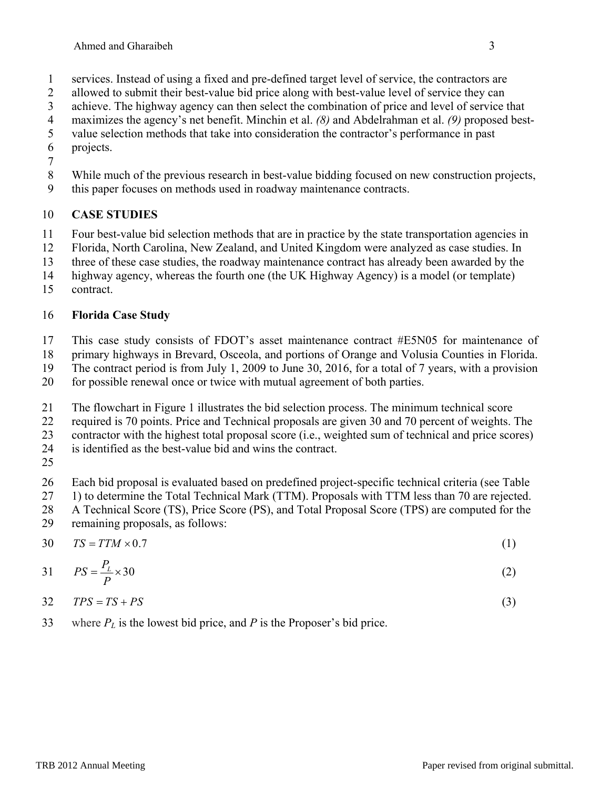- 1 services. Instead of using a fixed and pre-defined target level of service, the contractors are
- 2 allowed to submit their best-value bid price along with best-value level of service they can
- 3 achieve. The highway agency can then select the combination of price and level of service that
- 4 maximizes the agency's net benefit. Minchin et al. *(8)* and Abdelrahman et al. *(9)* proposed best-
- 5 value selection methods that take into consideration the contractor's performance in past 6 projects.
- 7
- 8 While much of the previous research in best-value bidding focused on new construction projects,
- 9 this paper focuses on methods used in roadway maintenance contracts.

# 10 **CASE STUDIES**

- 11 Four best-value bid selection methods that are in practice by the state transportation agencies in
- 12 Florida, North Carolina, New Zealand, and United Kingdom were analyzed as case studies. In
- 13 three of these case studies, the roadway maintenance contract has already been awarded by the
- 14 highway agency, whereas the fourth one (the UK Highway Agency) is a model (or template)
- 15 contract.

# 16 **Florida Case Study**

- 17 This case study consists of FDOT's asset maintenance contract #E5N05 for maintenance of
- 18 primary highways in Brevard, Osceola, and portions of Orange and Volusia Counties in Florida.
- 19 The contract period is from July 1, 2009 to June 30, 2016, for a total of 7 years, with a provision
- 20 for possible renewal once or twice with mutual agreement of both parties.
- 21 The flowchart in Figure 1 illustrates the bid selection process. The minimum technical score
- 22 required is 70 points. Price and Technical proposals are given 30 and 70 percent of weights. The
- 23 contractor with the highest total proposal score (i.e., weighted sum of technical and price scores)
- 24 is identified as the best-value bid and wins the contract.
- 25

26 Each bid proposal is evaluated based on predefined project-specific technical criteria (see Table 27 1) to determine the Total Technical Mark (TTM). Proposals with TTM less than 70 are rejected.

28 A Technical Score (TS), Price Score (PS), and Total Proposal Score (TPS) are computed for the

- 29 remaining proposals, as follows:
- $TS = TTM \times 0.7$  (1)

$$
PS = \frac{P_L}{P} \times 30\tag{2}
$$

$$
TPS = TS + PS \tag{3}
$$

33 where  $P_L$  is the lowest bid price, and  $P$  is the Proposer's bid price.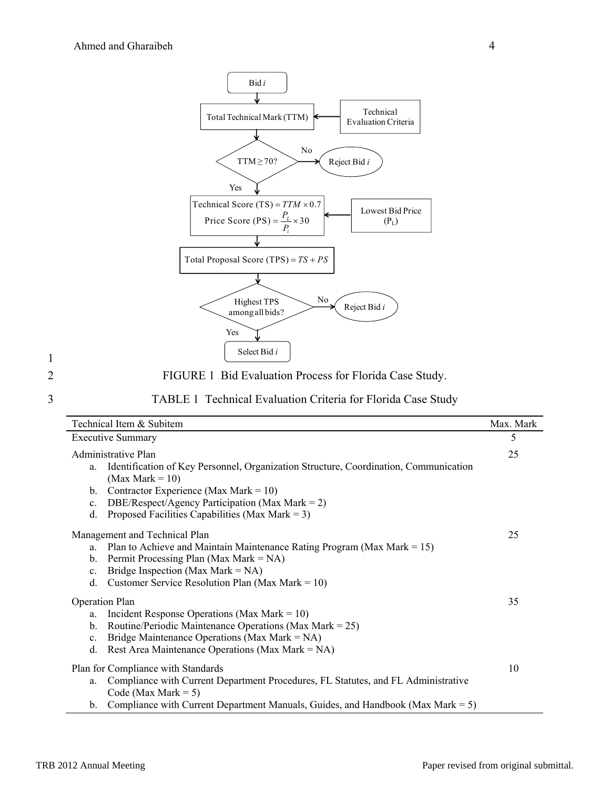

2 FIGURE 1 Bid Evaluation Process for Florida Case Study.

#### 3 TABLE 1 Technical Evaluation Criteria for Florida Case Study

| Technical Item & Subitem                                                                                                                                                                                                                                                                                                | Max. Mark |
|-------------------------------------------------------------------------------------------------------------------------------------------------------------------------------------------------------------------------------------------------------------------------------------------------------------------------|-----------|
| <b>Executive Summary</b>                                                                                                                                                                                                                                                                                                | 5         |
| Administrative Plan<br>Identification of Key Personnel, Organization Structure, Coordination, Communication<br>a.<br>(Max Mark = $10$ )<br>Contractor Experience (Max Mark = $10$ )<br>b.<br>DBE/Respect/Agency Participation (Max Mark = 2)<br>$\mathbf{c}$ .<br>Proposed Facilities Capabilities (Max Mark = 3)<br>d. | 25        |
| Management and Technical Plan<br>Plan to Achieve and Maintain Maintenance Rating Program (Max Mark = $15$ )<br>a.<br>Permit Processing Plan (Max Mark = $NA$ )<br>b.<br>Bridge Inspection (Max Mark = $NA$ )<br>c.<br>Customer Service Resolution Plan (Max Mark = $10$ )<br>d.                                         | 25        |
| <b>Operation Plan</b><br>Incident Response Operations (Max Mark = $10$ )<br>a.<br>Routine/Periodic Maintenance Operations (Max Mark = $25$ )<br>b.<br>Bridge Maintenance Operations (Max Mark = NA)<br>$\mathbf{c}$ .<br>Rest Area Maintenance Operations (Max Mark = NA)<br>d.                                         | 35        |
| Plan for Compliance with Standards<br>Compliance with Current Department Procedures, FL Statutes, and FL Administrative<br>a.<br>Code (Max Mark = $5$ )<br>Compliance with Current Department Manuals, Guides, and Handbook (Max Mark $= 5$ )<br>$b_{\cdot}$                                                            | 10        |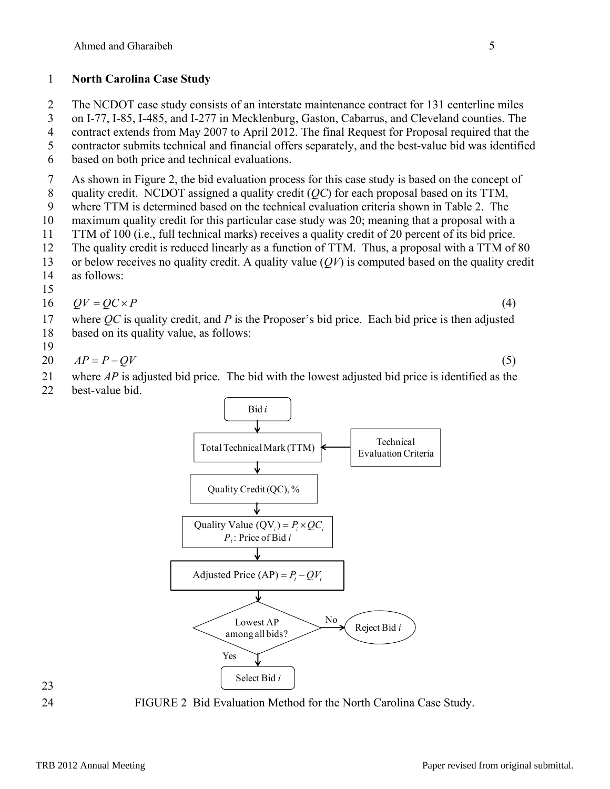### 1 **North Carolina Case Study**

2 The NCDOT case study consists of an interstate maintenance contract for 131 centerline miles

3 on I-77, I-85, I-485, and I-277 in Mecklenburg, Gaston, Cabarrus, and Cleveland counties. The

4 contract extends from May 2007 to April 2012. The final Request for Proposal required that the 5 contractor submits technical and financial offers separately, and the best-value bid was identified

6 based on both price and technical evaluations.

7 As shown in Figure 2, the bid evaluation process for this case study is based on the concept of

8 quality credit. NCDOT assigned a quality credit (*QC*) for each proposal based on its TTM,

9 where TTM is determined based on the technical evaluation criteria shown in Table 2. The

- 10 maximum quality credit for this particular case study was 20; meaning that a proposal with a
- 11 TTM of 100 (i.e., full technical marks) receives a quality credit of 20 percent of its bid price. 12 The quality credit is reduced linearly as a function of TTM. Thus, a proposal with a TTM of 80
- 13 or below receives no quality credit. A quality value (*QV*) is computed based on the quality credit
- 14 as follows:

15

$$
16 \qquad QV = QC \times P \tag{4}
$$

17 where *QC* is quality credit, and *P* is the Proposer's bid price. Each bid price is then adjusted 18 based on its quality value, as follows:

19

20  $AP = P - QV$  (5)

21 where *AP* is adjusted bid price. The bid with the lowest adjusted bid price is identified as the

22 best-value bid.



23



24 FIGURE 2 Bid Evaluation Method for the North Carolina Case Study.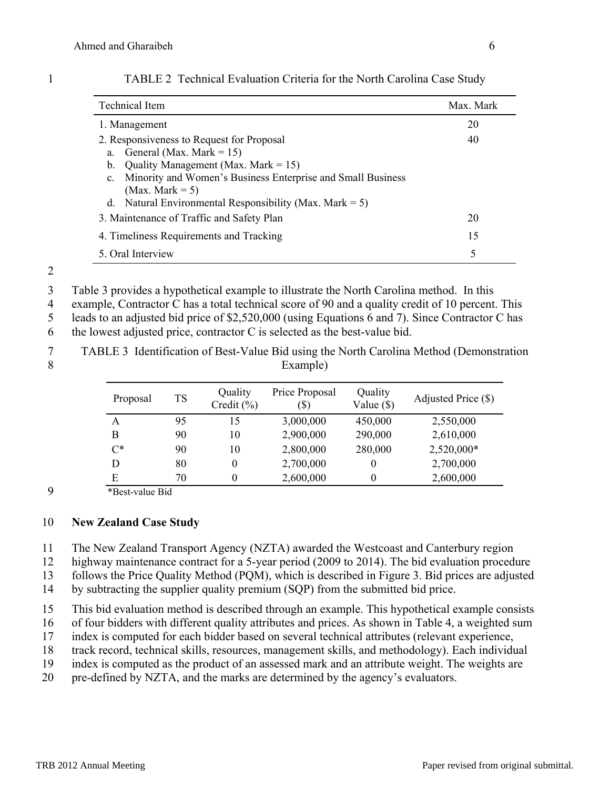| <b>Technical Item</b>                                                      | Max. Mark |
|----------------------------------------------------------------------------|-----------|
| 1. Management                                                              | 20        |
| 2. Responsiveness to Request for Proposal                                  | 40        |
| a. General (Max. Mark = 15)                                                |           |
| b. Quality Management (Max. Mark = 15)                                     |           |
| Minority and Women's Business Enterprise and Small Business<br>$c_{\cdot}$ |           |
| (Max. Mark $= 5$ )                                                         |           |
| d. Natural Environmental Responsibility (Max. Mark = 5)                    |           |
| 3. Maintenance of Traffic and Safety Plan                                  | 20        |
| 4. Timeliness Requirements and Tracking                                    | 15        |
| 5. Oral Interview                                                          | 5         |

1 TABLE 2 Technical Evaluation Criteria for the North Carolina Case Study

2

3 Table 3 provides a hypothetical example to illustrate the North Carolina method. In this

4 example, Contractor C has a total technical score of 90 and a quality credit of 10 percent. This

5 leads to an adjusted bid price of \$2,520,000 (using Equations 6 and 7). Since Contractor C has

6 the lowest adjusted price, contractor  $C$  is selected as the best-value bid.

7 TABLE 3 Identification of Best-Value Bid using the North Carolina Method (Demonstration 8 Example)

| Proposal | <b>TS</b> | Quality<br>Credit $(\% )$ | Price Proposal<br>(\$) | Quality<br>Value (\$) | Adjusted Price (\$) |
|----------|-----------|---------------------------|------------------------|-----------------------|---------------------|
| A        | 95        | 15                        | 3,000,000              | 450,000               | 2,550,000           |
| B        | 90        | 10                        | 2,900,000              | 290,000               | 2,610,000           |
| $C^*$    | 90        | 10                        | 2,800,000              | 280,000               | 2,520,000*          |
| D        | 80        | $\theta$                  | 2,700,000              | $\theta$              | 2,700,000           |
| E        | 70        | $\theta$                  | 2,600,000              | $\theta$              | 2,600,000           |

9 \*Best-value Bid

### 10 **New Zealand Case Study**

11 The New Zealand Transport Agency (NZTA) awarded the Westcoast and Canterbury region

12 highway maintenance contract for a 5-year period (2009 to 2014). The bid evaluation procedure

13 follows the Price Quality Method (PQM), which is described in Figure 3. Bid prices are adjusted

14 by subtracting the supplier quality premium (SQP) from the submitted bid price.

15 This bid evaluation method is described through an example. This hypothetical example consists

16 of four bidders with different quality attributes and prices. As shown in Table 4, a weighted sum

17 index is computed for each bidder based on several technical attributes (relevant experience,

18 track record, technical skills, resources, management skills, and methodology). Each individual

19 index is computed as the product of an assessed mark and an attribute weight. The weights are

20 pre-defined by NZTA, and the marks are determined by the agency's evaluators.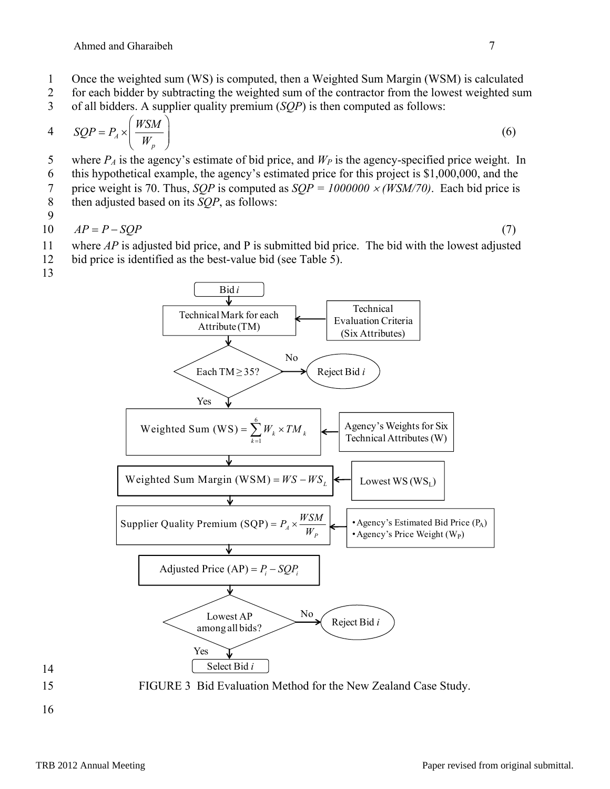- 1 Once the weighted sum (WS) is computed, then a Weighted Sum Margin (WSM) is calculated
- 2 for each bidder by subtracting the weighted sum of the contractor from the lowest weighted sum
- 3 of all bidders. A supplier quality premium (*SQP*) is then computed as follows:

$$
4 \qquad SQP = P_A \times \left(\frac{WSM}{W_p}\right) \tag{6}
$$

- 5 where  $P_A$  is the agency's estimate of bid price, and  $W_P$  is the agency-specified price weight. In
- 6 this hypothetical example, the agency's estimated price for this project is \$1,000,000, and the
- 7 price weight is 70. Thus, *SQP* is computed as *SQP = 1000000 (WSM/70)*. Each bid price is
- 8 then adjusted based on its *SQP*, as follows:

9

 $AP = P - SOP$  (7)

- 11 where *AP* is adjusted bid price, and P is submitted bid price. The bid with the lowest adjusted 12 bid price is identified as the best-value bid (see Table 5).
- 13





15 FIGURE 3 Bid Evaluation Method for the New Zealand Case Study.

16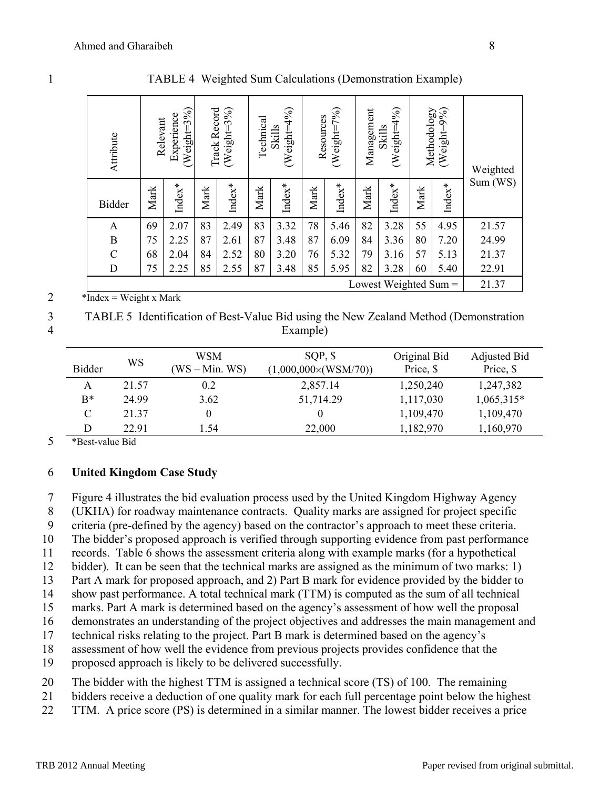| Attribute                                                                                                                                                      | Weight=3%)<br>Experience<br>Relevant |          | $(Weighf=3%$<br>Track Record |        | Technical | (Weight=4%)<br>Skills | Resources | (WeighT%) | Management | $(Weight=4\%)$<br>Skills | Methodology | (Weight=9%) | Weighted |
|----------------------------------------------------------------------------------------------------------------------------------------------------------------|--------------------------------------|----------|------------------------------|--------|-----------|-----------------------|-----------|-----------|------------|--------------------------|-------------|-------------|----------|
| <b>Bidder</b>                                                                                                                                                  | Mark                                 | $Index*$ | Mark                         | Index* | Mark      | Index $*$             | Mark      | Index*    | Mark       | Index $*$                | Mark        | $Index*$    | Sum(WS)  |
| $\mathbf{A}$                                                                                                                                                   | 69                                   | 2.07     | 83                           | 2.49   | 83        | 3.32                  | 78        | 5.46      | 82         | 3.28                     | 55          | 4.95        | 21.57    |
| $\, {\bf B}$                                                                                                                                                   | 75                                   | 2.25     | 87                           | 2.61   | 87        | 3.48                  | 87        | 6.09      | 84         | 3.36                     | 80          | 7.20        | 24.99    |
| $\mathcal{C}$                                                                                                                                                  | 68                                   | 2.04     | 84                           | 2.52   | 80        | 3.20                  | 76        | 5.32      | 79         | 3.16                     | 57          | 5.13        | 21.37    |
| D                                                                                                                                                              | 75                                   | 2.25     | 85                           | 2.55   | 87        | 3.48                  | 85        | 5.95      | 82         | 3.28                     | 60          | 5.40        | 22.91    |
| Lowest Weighted Sum $=$<br>$\mathbf{r}$ $\mathbf{r}$ $\mathbf{r}$ $\mathbf{r}$ $\mathbf{r}$ $\mathbf{r}$ $\mathbf{r}$<br>$\mathbf{r}$ $\mathbf{r}$<br>$\cdots$ |                                      |          |                              |        |           |                       |           |           | 21.37      |                          |             |             |          |

1 TABLE 4 Weighted Sum Calculations (Demonstration Example)

2  $***Index** = Weight x Mark$ 

3 TABLE 5 Identification of Best-Value Bid using the New Zealand Method (Demonstration 4 Example)

| <b>Bidder</b> | WS      | WSM<br>$(WS - Min. WS)$ | $SOP,$ \$<br>$(1,000,000\times(WSM/70))$ | Original Bid<br>Price, \$ | Adjusted Bid<br>Price, \$ |
|---------------|---------|-------------------------|------------------------------------------|---------------------------|---------------------------|
| A             | 21.57   | 0.2                     | 2,857.14                                 | 1,250,240                 | 1,247,382                 |
| $B^*$         | 24 99   | 3.62                    | 51,714.29                                | 1,117,030                 | 1,065,315*                |
| C             | 21.37   |                         |                                          | 1,109,470                 | 1,109,470                 |
| D             | 22.91   | 1.54                    | 22,000                                   | 1,182,970                 | 1,160,970                 |
| $\mathbf{r}$  | $- - -$ |                         |                                          |                           |                           |

5 \*Best-value Bid

### 6 **United Kingdom Case Study**

7 Figure 4 illustrates the bid evaluation process used by the United Kingdom Highway Agency

8 (UKHA) for roadway maintenance contracts. Quality marks are assigned for project specific

9 criteria (pre-defined by the agency) based on the contractor's approach to meet these criteria.

10 The bidder's proposed approach is verified through supporting evidence from past performance

11 records. Table 6 shows the assessment criteria along with example marks (for a hypothetical

12 bidder). It can be seen that the technical marks are assigned as the minimum of two marks: 1)

13 Part A mark for proposed approach, and 2) Part B mark for evidence provided by the bidder to

14 show past performance. A total technical mark (TTM) is computed as the sum of all technical

15 marks. Part A mark is determined based on the agency's assessment of how well the proposal

16 demonstrates an understanding of the project objectives and addresses the main management and

17 technical risks relating to the project. Part B mark is determined based on the agency's 18 assessment of how well the evidence from previous projects provides confidence that the

19 proposed approach is likely to be delivered successfully.

20 The bidder with the highest TTM is assigned a technical score (TS) of 100. The remaining

21 bidders receive a deduction of one quality mark for each full percentage point below the highest

22 TTM. A price score (PS) is determined in a similar manner. The lowest bidder receives a price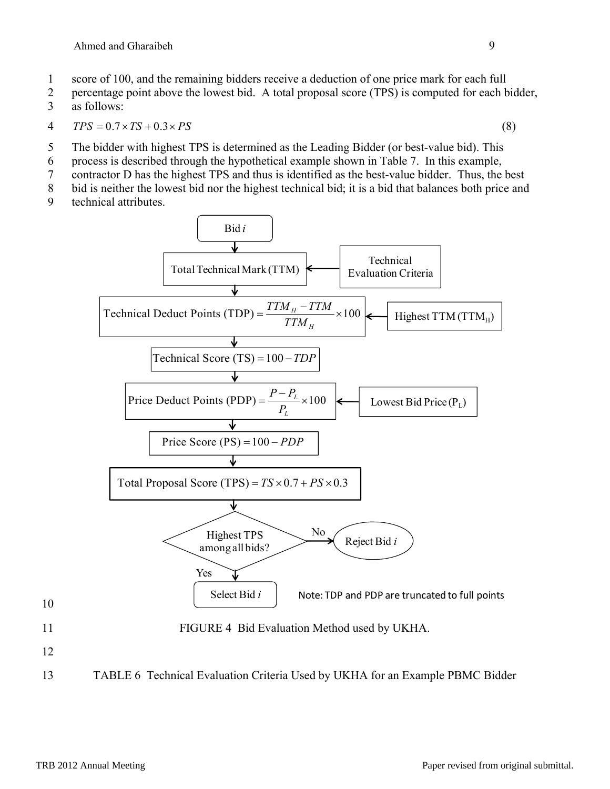- 1 score of 100, and the remaining bidders receive a deduction of one price mark for each full
- 2 percentage point above the lowest bid. A total proposal score (TPS) is computed for each bidder, 3 as follows:

$$
4 \qquad TPS = 0.7 \times TS + 0.3 \times PS \tag{8}
$$

- 5 The bidder with highest TPS is determined as the Leading Bidder (or best-value bid). This
- 6 process is described through the hypothetical example shown in Table 7. In this example,
- 7 contractor D has the highest TPS and thus is identified as the best-value bidder. Thus, the best
- 8 bid is neither the lowest bid nor the highest technical bid; it is a bid that balances both price and
- 9 technical attributes.



13 TABLE 6 Technical Evaluation Criteria Used by UKHA for an Example PBMC Bidder

10

12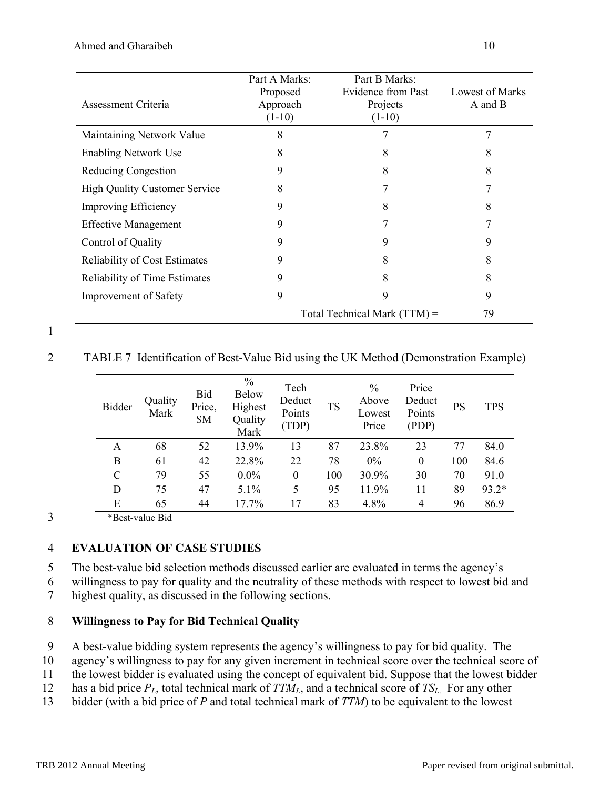| Assessment Criteria                  | Part A Marks:<br>Proposed<br>Approach<br>$(1-10)$ | Part B Marks:<br><b>Evidence from Past</b><br>Projects<br>$(1-10)$ | <b>Lowest of Marks</b><br>A and B |
|--------------------------------------|---------------------------------------------------|--------------------------------------------------------------------|-----------------------------------|
| Maintaining Network Value            | 8                                                 |                                                                    | 7                                 |
| <b>Enabling Network Use</b>          | 8                                                 | 8                                                                  | 8                                 |
| Reducing Congestion                  | 9                                                 | 8                                                                  | 8                                 |
| <b>High Quality Customer Service</b> | 8                                                 |                                                                    |                                   |
| <b>Improving Efficiency</b>          | 9                                                 | 8                                                                  | 8                                 |
| <b>Effective Management</b>          | 9                                                 |                                                                    |                                   |
| Control of Quality                   | 9                                                 | 9                                                                  | 9                                 |
| <b>Reliability of Cost Estimates</b> | 9                                                 | 8                                                                  | 8                                 |
| <b>Reliability of Time Estimates</b> | 9                                                 | 8                                                                  | 8                                 |
| <b>Improvement of Safety</b>         | 9                                                 | 9                                                                  | 9                                 |
|                                      |                                                   | Total Technical Mark $(TTM)$ =                                     | 79                                |

1

2 TABLE 7 Identification of Best-Value Bid using the UK Method (Demonstration Example)

| <b>Bidder</b> | Quality<br>Mark | Bid<br>Price,<br>\$M | $\frac{0}{0}$<br><b>Below</b><br>Highest<br>Quality<br>Mark | Tech<br>Deduct<br>Points<br>(TDP) | <b>TS</b> | $\frac{0}{0}$<br>Above<br>Lowest<br>Price | Price<br>Deduct<br>Points<br>(PDP) | <b>PS</b> | <b>TPS</b> |
|---------------|-----------------|----------------------|-------------------------------------------------------------|-----------------------------------|-----------|-------------------------------------------|------------------------------------|-----------|------------|
| A             | 68              | 52                   | 13.9%                                                       | 13                                | 87        | 23.8%                                     | 23                                 | 77        | 84.0       |
| B             | 61              | 42                   | 22.8%                                                       | 22                                | 78        | 0%                                        | $\boldsymbol{0}$                   | 100       | 84.6       |
| $\mathcal{C}$ | 79              | 55                   | $0.0\%$                                                     | $\boldsymbol{0}$                  | 100       | 30.9%                                     | 30                                 | 70        | 91.0       |
| D             | 75              | 47                   | 5.1%                                                        | 5                                 | 95        | 11.9%                                     | 11                                 | 89        | 93.2*      |
| E             | 65              | 44                   | 17.7%                                                       | 17                                | 83        | 4.8%                                      | 4                                  | 96        | 86.9       |

3 \*Best-value Bid

### 4 **EVALUATION OF CASE STUDIES**

5 The best-value bid selection methods discussed earlier are evaluated in terms the agency's

6 willingness to pay for quality and the neutrality of these methods with respect to lowest bid and

7 highest quality, as discussed in the following sections.

### 8 **Willingness to Pay for Bid Technical Quality**

9 A best-value bidding system represents the agency's willingness to pay for bid quality. The

10 agency's willingness to pay for any given increment in technical score over the technical score of

11 the lowest bidder is evaluated using the concept of equivalent bid. Suppose that the lowest bidder

12 has a bid price  $P_L$ , total technical mark of  $TTM_L$ , and a technical score of  $TS_L$ . For any other<br>13 bidder (with a bid price of *P* and total technical mark of *TTM*) to be equivalent to the lowest

bidder (with a bid price of *P* and total technical mark of *TTM*) to be equivalent to the lowest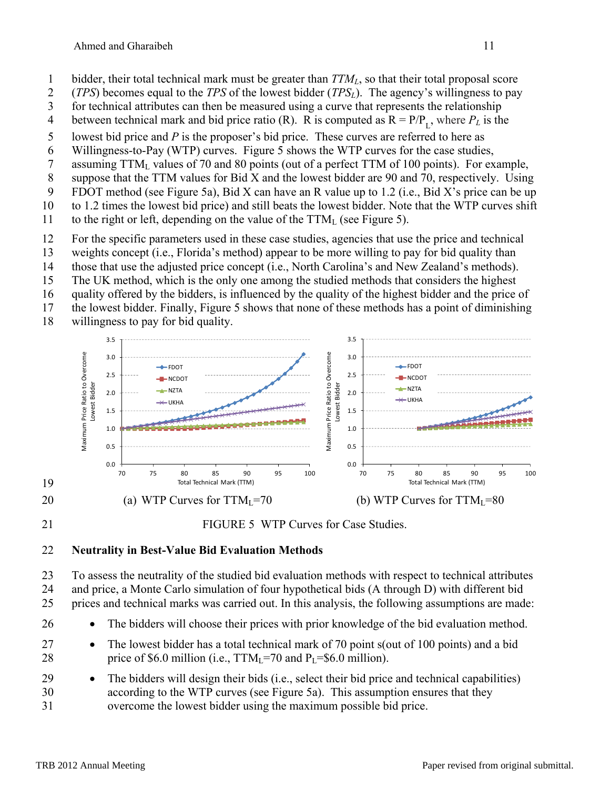- 1 bidder, their total technical mark must be greater than *TTML*, so that their total proposal score
- 2 (*TPS*) becomes equal to the *TPS* of the lowest bidder (*TPSL*). The agency's willingness to pay
- 3 for technical attributes can then be measured using a curve that represents the relationship
- 4 between technical mark and bid price ratio (R). R is computed as  $R = P/P<sub>r</sub>$ , where  $P<sub>L</sub>$  is the
- 5 lowest bid price and *P* is the proposer's bid price. These curves are referred to here as
- 6 Willingness-to-Pay (WTP) curves. Figure 5 shows the WTP curves for the case studies,
- 7 assuming TTML values of 70 and 80 points (out of a perfect TTM of 100 points). For example,
- 8 suppose that the TTM values for Bid X and the lowest bidder are 90 and 70, respectively. Using
- 9 FDOT method (see Figure 5a), Bid X can have an R value up to 1.2 (i.e., Bid X's price can be up
- 10 to 1.2 times the lowest bid price) and still beats the lowest bidder. Note that the WTP curves shift
- 11 to the right or left, depending on the value of the  $TTM<sub>L</sub>$  (see Figure 5).
- 12 For the specific parameters used in these case studies, agencies that use the price and technical
- 13 weights concept (i.e., Florida's method) appear to be more willing to pay for bid quality than
- 14 those that use the adjusted price concept (i.e., North Carolina's and New Zealand's methods).
- 15 The UK method, which is the only one among the studied methods that considers the highest
- 16 quality offered by the bidders, is influenced by the quality of the highest bidder and the price of
- 17 the lowest bidder. Finally, Figure 5 shows that none of these methods has a point of diminishing
- 18 willingness to pay for bid quality.



## 21 FIGURE 5 WTP Curves for Case Studies.

### 22 **Neutrality in Best-Value Bid Evaluation Methods**

23 To assess the neutrality of the studied bid evaluation methods with respect to technical attributes 24 and price, a Monte Carlo simulation of four hypothetical bids (A through D) with different bid

25 prices and technical marks was carried out. In this analysis, the following assumptions are made:

- 26 The bidders will choose their prices with prior knowledge of the bid evaluation method.
- 27 **•** The lowest bidder has a total technical mark of 70 point s(out of 100 points) and a bid 28 price of \$6.0 million (i.e.,  $TTM_1=70$  and  $P_1=$ \$6.0 million).
- 29 The bidders will design their bids (i.e., select their bid price and technical capabilities) 30 according to the WTP curves (see Figure 5a). This assumption ensures that they 31 overcome the lowest bidder using the maximum possible bid price.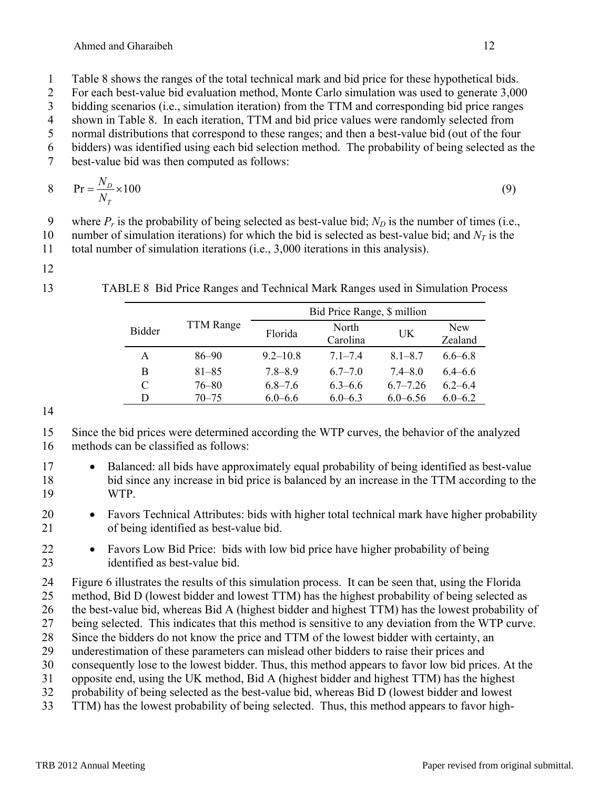2 For each best-value bid evaluation method, Monte Carlo simulation was used to generate 3,000

3 bidding scenarios (i.e., simulation iteration) from the TTM and corresponding bid price ranges

4 shown in Table 8. In each iteration, TTM and bid price values were randomly selected from 5 normal distributions that correspond to these ranges; and then a best-value bid (out of the four

6 bidders) was identified using each bid selection method. The probability of being selected as the

7 best-value bid was then computed as follows:

$$
8 \t\t Pr = \frac{N_D}{N_T} \times 100
$$
\t(9)

9 where  $P_r$  is the probability of being selected as best-value bid;  $N_D$  is the number of times (i.e.,

10 number of simulation iterations) for which the bid is selected as best-value bid; and  $N_T$  is the

11 total number of simulation iterations (i.e., 3,000 iterations in this analysis).

12

13 TABLE 8 Bid Price Ranges and Technical Mark Ranges used in Simulation Process

|               |                  | Bid Price Range, \$ million |                   |              |                       |  |  |
|---------------|------------------|-----------------------------|-------------------|--------------|-----------------------|--|--|
| <b>Bidder</b> | <b>TTM</b> Range | Florida                     | North<br>Carolina | UK           | <b>New</b><br>Zealand |  |  |
| A             | $86 - 90$        | $9.2 - 10.8$                | $71 - 74$         | $8.1 - 8.7$  | $6.6 - 6.8$           |  |  |
| В             | $81 - 85$        | $7.8 - 8.9$                 | $6.7 - 7.0$       | $7.4 - 8.0$  | $6.4 - 6.6$           |  |  |
| C             | $76 - 80$        | $6.8 - 7.6$                 | $6.3 - 6.6$       | $67 - 726$   | $6.2 - 6.4$           |  |  |
| D             | 70–75            | $6.0 - 6.6$                 | $6.0 - 6.3$       | $6.0 - 6.56$ | $6.0 - 6.2$           |  |  |

14

15 Since the bid prices were determined according the WTP curves, the behavior of the analyzed 16 methods can be classified as follows:

17 • Balanced: all bids have approximately equal probability of being identified as best-value 18 bid since any increase in bid price is balanced by an increase in the TTM according to the 19 WTP.

20 • Favors Technical Attributes: bids with higher total technical mark have higher probability 21 of being identified as best-value bid.

22 Favors Low Bid Price: bids with low bid price have higher probability of being 23 identified as best-value bid.

24 Figure 6 illustrates the results of this simulation process. It can be seen that, using the Florida

25 method, Bid D (lowest bidder and lowest TTM) has the highest probability of being selected as

26 the best-value bid, whereas Bid A (highest bidder and highest TTM) has the lowest probability of

27 being selected. This indicates that this method is sensitive to any deviation from the WTP curve.

28 Since the bidders do not know the price and TTM of the lowest bidder with certainty, an

29 underestimation of these parameters can mislead other bidders to raise their prices and

30 consequently lose to the lowest bidder. Thus, this method appears to favor low bid prices. At the

31 opposite end, using the UK method, Bid A (highest bidder and highest TTM) has the highest 32 probability of being selected as the best-value bid, whereas Bid D (lowest bidder and lowest

33 TTM) has the lowest probability of being selected. Thus, this method appears to favor high-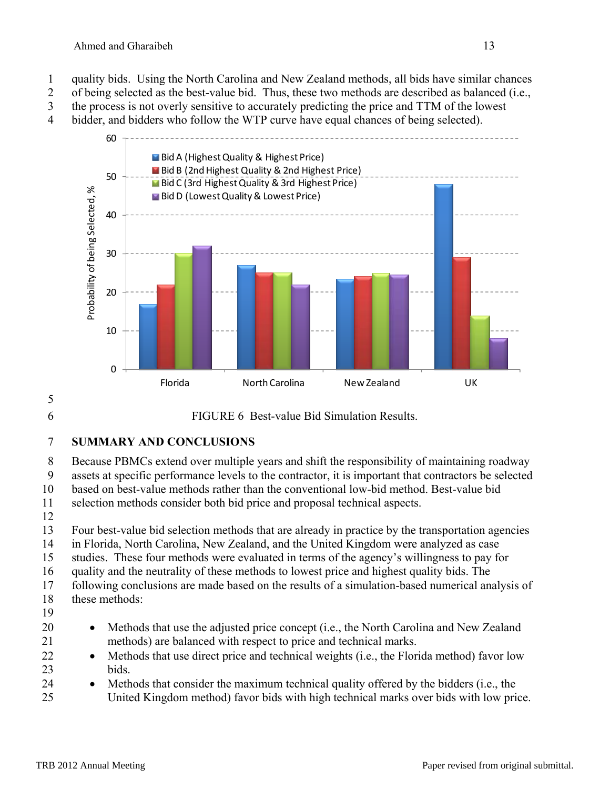1 quality bids. Using the North Carolina and New Zealand methods, all bids have similar chances 2 of being selected as the best-value bid. Thus, these two methods are described as balanced (i.e., 3 the process is not overly sensitive to accurately predicting the price and TTM of the lowest

4 bidder, and bidders who follow the WTP curve have equal chances of being selected).



# 5

6 FIGURE 6 Best-value Bid Simulation Results.

7 **SUMMARY AND CONCLUSIONS** 

8 Because PBMCs extend over multiple years and shift the responsibility of maintaining roadway

9 assets at specific performance levels to the contractor, it is important that contractors be selected

10 based on best-value methods rather than the conventional low-bid method. Best-value bid

11 selection methods consider both bid price and proposal technical aspects.

12

13 Four best-value bid selection methods that are already in practice by the transportation agencies

14 in Florida, North Carolina, New Zealand, and the United Kingdom were analyzed as case

15 studies. These four methods were evaluated in terms of the agency's willingness to pay for 16 quality and the neutrality of these methods to lowest price and highest quality bids. The

17 following conclusions are made based on the results of a simulation-based numerical analysis of

- 18 these methods:
- 19
- 20 Methods that use the adjusted price concept (i.e., the North Carolina and New Zealand 21 methods) are balanced with respect to price and technical marks.
- 22 Methods that use direct price and technical weights (i.e., the Florida method) favor low 23 bids.
- 24 Methods that consider the maximum technical quality offered by the bidders (i.e., the
- 25 United Kingdom method) favor bids with high technical marks over bids with low price.